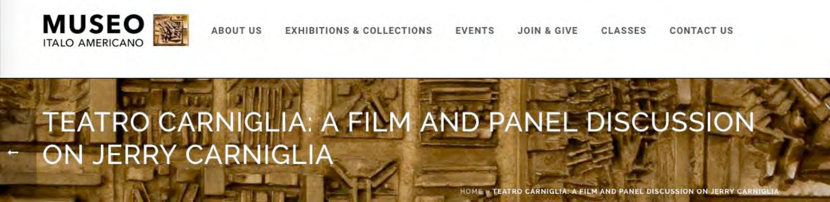



### **ABOUT US EXHIBITIONS & COLLECTIONS EVENTS JOIN & GIVE**

# **TEATRO CARNIGLIA: A FILM AND PANEL DISCUSSION** ON JERRY CARNIGLIA

HOME » TEATRO CARNIGLIA: A FILM AND PANEL DISCUSSION ON JERRY CARNI

### **CLASSES CONTACT US**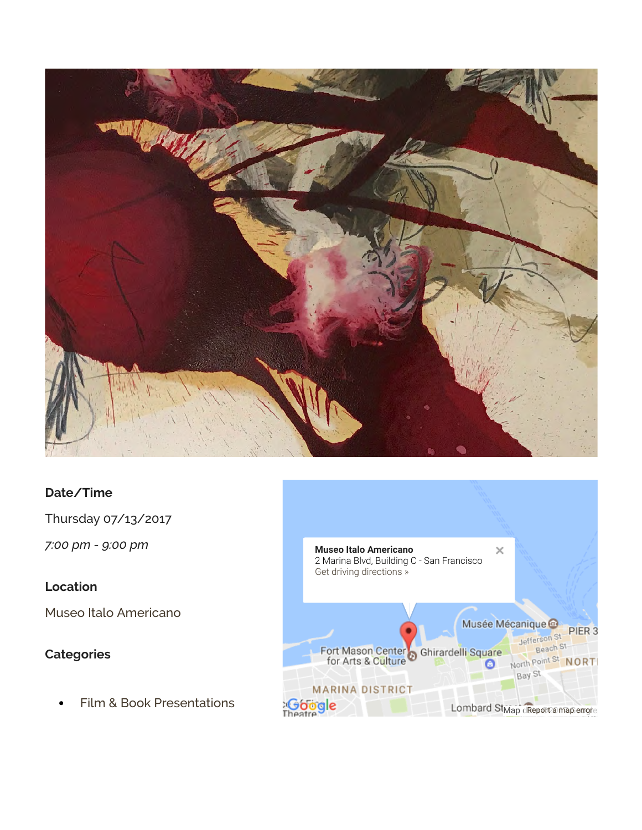

### **Date/Time**

Thursday 07/13/2017

*7:00 pm - 9:00 pm*

## **Location**

Museo Italo Americano

# **Categories**

Film & Book Presentations  $\bullet$